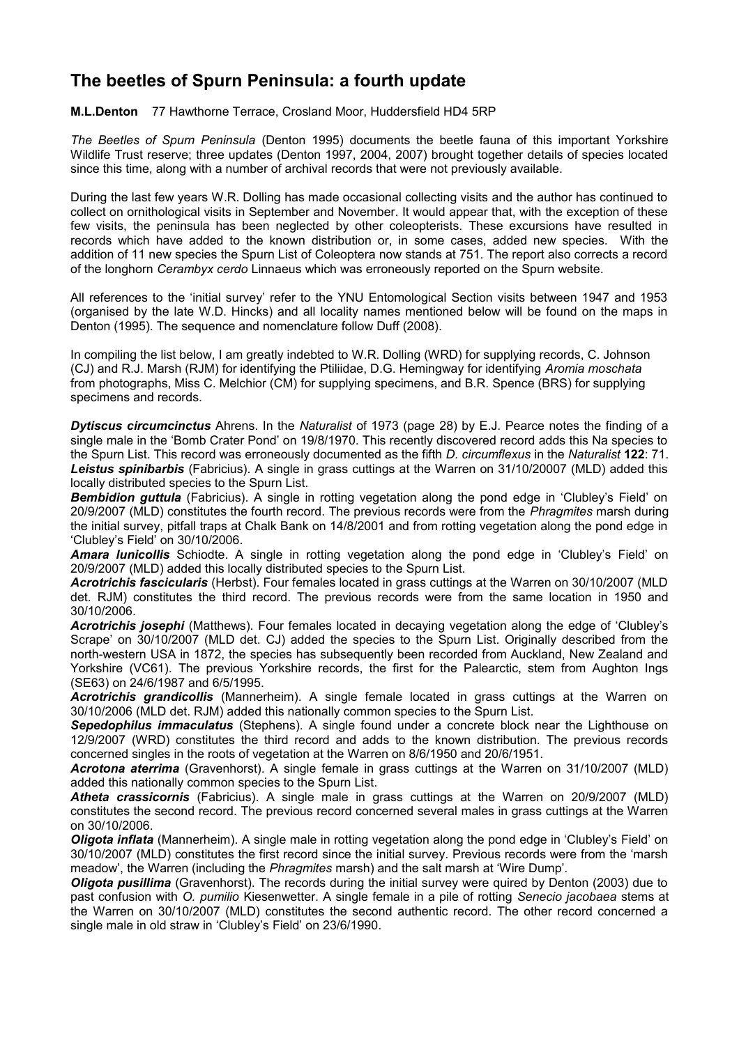## **The beetles of Spurn Peninsula: a fourth update**

**M.L.Denton** 77 Hawthorne Terrace, Crosland Moor, Huddersfield HD4 5RP

*The Beetles of Spurn Peninsula* (Denton 1995) documents the beetle fauna of this important Yorkshire Wildlife Trust reserve; three updates (Denton 1997, 2004, 2007) brought together details of species located since this time, along with a number of archival records that were not previously available.

During the last few years W.R. Dolling has made occasional collecting visits and the author has continued to collect on ornithological visits in September and November. It would appear that, with the exception of these few visits, the peninsula has been neglected by other coleopterists. These excursions have resulted in records which have added to the known distribution or, in some cases, added new species. With the addition of 11 new species the Spurn List of Coleoptera now stands at 751. The report also corrects a record of the longhorn *Cerambyx cerdo* Linnaeus which was erroneously reported on the Spurn website.

All references to the 'initial survey' refer to the YNU Entomological Section visits between 1947 and 1953 (organised by the late W.D. Hincks) and all locality names mentioned below will be found on the maps in Denton (1995). The sequence and nomenclature follow Duff (2008).

In compiling the list below, I am greatly indebted to W.R. Dolling (WRD) for supplying records, C. Johnson (CJ) and R.J. Marsh (RJM) for identifying the Ptiliidae, D.G. Hemingway for identifying *Aromia moschata* from photographs, Miss C. Melchior (CM) for supplying specimens, and B.R. Spence (BRS) for supplying specimens and records.

*Dytiscus circumcinctus* Ahrens. In the *Naturalist* of 1973 (page 28) by E.J. Pearce notes the finding of a single male in the 'Bomb Crater Pond' on 19/8/1970. This recently discovered record adds this Na species to the Spurn List. This record was erroneously documented as the fifth *D. circumflexus* in the *Naturalist* **122**: 71. *Leistus spinibarbis* (Fabricius). A single in grass cuttings at the Warren on 31/10/20007 (MLD) added this locally distributed species to the Spurn List.

**Bembidion guttula** (Fabricius). A single in rotting vegetation along the pond edge in 'Clubley's Field' on 20/9/2007 (MLD) constitutes the fourth record. The previous records were from the *Phragmites* marsh during the initial survey, pitfall traps at Chalk Bank on 14/8/2001 and from rotting vegetation along the pond edge in 'Clubley's Field' on 30/10/2006.

*Amara lunicollis* Schiodte. A single in rotting vegetation along the pond edge in 'Clubley's Field' on 20/9/2007 (MLD) added this locally distributed species to the Spurn List.

*Acrotrichis fascicularis* (Herbst). Four females located in grass cuttings at the Warren on 30/10/2007 (MLD det. RJM) constitutes the third record. The previous records were from the same location in 1950 and 30/10/2006.

*Acrotrichis josephi* (Matthews). Four females located in decaying vegetation along the edge of 'Clubley's Scrape' on 30/10/2007 (MLD det. CJ) added the species to the Spurn List. Originally described from the north-western USA in 1872, the species has subsequently been recorded from Auckland, New Zealand and Yorkshire (VC61). The previous Yorkshire records, the first for the Palearctic, stem from Aughton Ings (SE63) on 24/6/1987 and 6/5/1995.

*Acrotrichis grandicollis* (Mannerheim). A single female located in grass cuttings at the Warren on 30/10/2006 (MLD det. RJM) added this nationally common species to the Spurn List.

*Sepedophilus immaculatus* (Stephens). A single found under a concrete block near the Lighthouse on 12/9/2007 (WRD) constitutes the third record and adds to the known distribution. The previous records concerned singles in the roots of vegetation at the Warren on 8/6/1950 and 20/6/1951.

*Acrotona aterrima* (Gravenhorst). A single female in grass cuttings at the Warren on 31/10/2007 (MLD) added this nationally common species to the Spurn List.

*Atheta crassicornis* (Fabricius). A single male in grass cuttings at the Warren on 20/9/2007 (MLD) constitutes the second record. The previous record concerned several males in grass cuttings at the Warren on 30/10/2006.

*Oligota inflata* (Mannerheim). A single male in rotting vegetation along the pond edge in 'Clubley's Field' on 30/10/2007 (MLD) constitutes the first record since the initial survey. Previous records were from the 'marsh meadow', the Warren (including the *Phragmites* marsh) and the salt marsh at 'Wire Dump'.

*Oligota pusillima* (Gravenhorst). The records during the initial survey were quired by Denton (2003) due to past confusion with *O. pumilio* Kiesenwetter. A single female in a pile of rotting *Senecio jacobaea* stems at the Warren on 30/10/2007 (MLD) constitutes the second authentic record. The other record concerned a single male in old straw in 'Clubley's Field' on 23/6/1990.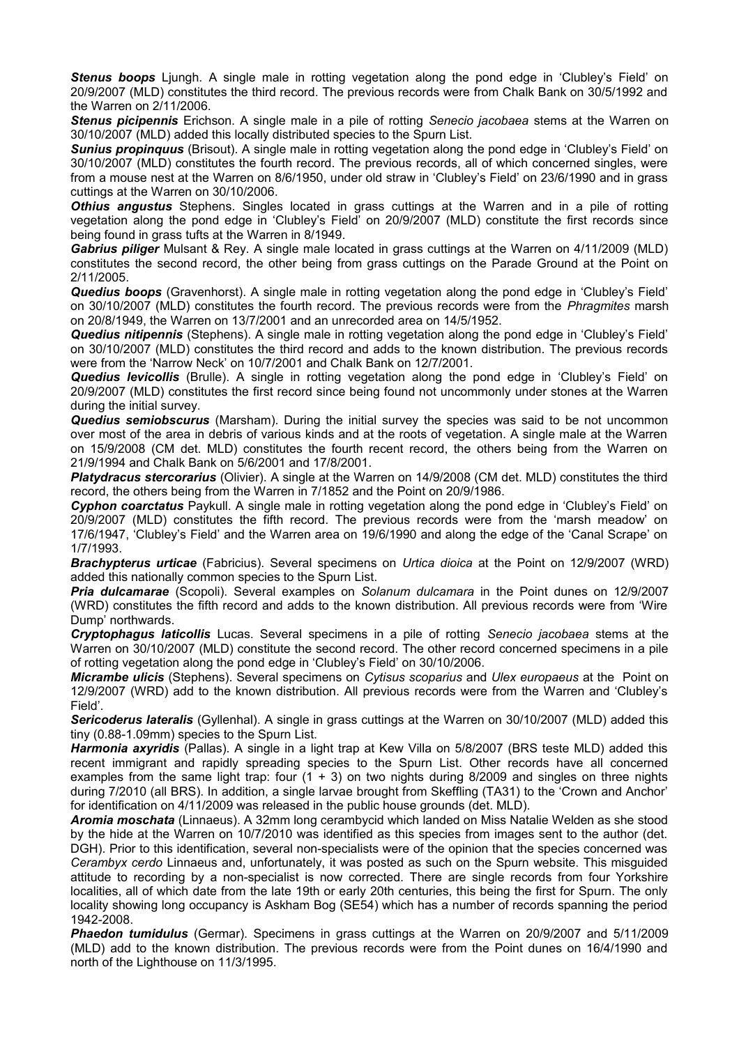*Stenus boops* Ljungh. A single male in rotting vegetation along the pond edge in 'Clubley's Field' on 20/9/2007 (MLD) constitutes the third record. The previous records were from Chalk Bank on 30/5/1992 and the Warren on 2/11/2006.

*Stenus picipennis* Erichson. A single male in a pile of rotting *Senecio jacobaea* stems at the Warren on 30/10/2007 (MLD) added this locally distributed species to the Spurn List.

*Sunius propinquus* (Brisout). A single male in rotting vegetation along the pond edge in 'Clubley's Field' on 30/10/2007 (MLD) constitutes the fourth record. The previous records, all of which concerned singles, were from a mouse nest at the Warren on 8/6/1950, under old straw in 'Clubley's Field' on 23/6/1990 and in grass cuttings at the Warren on 30/10/2006.

*Othius angustus* Stephens. Singles located in grass cuttings at the Warren and in a pile of rotting vegetation along the pond edge in 'Clubley's Field' on 20/9/2007 (MLD) constitute the first records since being found in grass tufts at the Warren in 8/1949.

*Gabrius piliger* Mulsant & Rey. A single male located in grass cuttings at the Warren on 4/11/2009 (MLD) constitutes the second record, the other being from grass cuttings on the Parade Ground at the Point on 2/11/2005.

*Quedius boops* (Gravenhorst). A single male in rotting vegetation along the pond edge in 'Clubley's Field' on 30/10/2007 (MLD) constitutes the fourth record. The previous records were from the *Phragmites* marsh on 20/8/1949, the Warren on 13/7/2001 and an unrecorded area on 14/5/1952.

*Quedius nitipennis* (Stephens). A single male in rotting vegetation along the pond edge in 'Clubley's Field' on 30/10/2007 (MLD) constitutes the third record and adds to the known distribution. The previous records were from the 'Narrow Neck' on 10/7/2001 and Chalk Bank on 12/7/2001.

*Quedius levicollis* (Brulle). A single in rotting vegetation along the pond edge in 'Clubley's Field' on 20/9/2007 (MLD) constitutes the first record since being found not uncommonly under stones at the Warren during the initial survey.

*Quedius semiobscurus* (Marsham). During the initial survey the species was said to be not uncommon over most of the area in debris of various kinds and at the roots of vegetation. A single male at the Warren on 15/9/2008 (CM det. MLD) constitutes the fourth recent record, the others being from the Warren on 21/9/1994 and Chalk Bank on 5/6/2001 and 17/8/2001.

*Platydracus stercorarius* (Olivier). A single at the Warren on 14/9/2008 (CM det. MLD) constitutes the third record, the others being from the Warren in 7/1852 and the Point on 20/9/1986.

*Cyphon coarctatus* Paykull. A single male in rotting vegetation along the pond edge in 'Clubley's Field' on 20/9/2007 (MLD) constitutes the fifth record. The previous records were from the 'marsh meadow' on 17/6/1947, 'Clubley's Field' and the Warren area on 19/6/1990 and along the edge of the 'Canal Scrape' on 1/7/1993.

*Brachypterus urticae* (Fabricius). Several specimens on *Urtica dioica* at the Point on 12/9/2007 (WRD) added this nationally common species to the Spurn List.

*Pria dulcamarae* (Scopoli). Several examples on *Solanum dulcamara* in the Point dunes on 12/9/2007 (WRD) constitutes the fifth record and adds to the known distribution. All previous records were from 'Wire Dump' northwards.

*Cryptophagus laticollis* Lucas. Several specimens in a pile of rotting *Senecio jacobaea* stems at the Warren on 30/10/2007 (MLD) constitute the second record. The other record concerned specimens in a pile of rotting vegetation along the pond edge in 'Clubley's Field' on 30/10/2006.

*Micrambe ulicis* (Stephens). Several specimens on *Cytisus scoparius* and *Ulex europaeus* at the Point on 12/9/2007 (WRD) add to the known distribution. All previous records were from the Warren and 'Clubley's Field'.

*Sericoderus lateralis* (Gyllenhal). A single in grass cuttings at the Warren on 30/10/2007 (MLD) added this tiny (0.88-1.09mm) species to the Spurn List.

*Harmonia axyridis* (Pallas). A single in a light trap at Kew Villa on 5/8/2007 (BRS teste MLD) added this recent immigrant and rapidly spreading species to the Spurn List. Other records have all concerned examples from the same light trap: four  $(1 + 3)$  on two nights during 8/2009 and singles on three nights during 7/2010 (all BRS). In addition, a single larvae brought from Skeffling (TA31) to the 'Crown and Anchor' for identification on 4/11/2009 was released in the public house grounds (det. MLD).

*Aromia moschata* (Linnaeus). A 32mm long cerambycid which landed on Miss Natalie Welden as she stood by the hide at the Warren on 10/7/2010 was identified as this species from images sent to the author (det. DGH). Prior to this identification, several non-specialists were of the opinion that the species concerned was *Cerambyx cerdo* Linnaeus and, unfortunately, it was posted as such on the Spurn website. This misguided attitude to recording by a non-specialist is now corrected. There are single records from four Yorkshire localities, all of which date from the late 19th or early 20th centuries, this being the first for Spurn. The only locality showing long occupancy is Askham Bog (SE54) which has a number of records spanning the period 1942-2008.

**Phaedon tumidulus** (Germar). Specimens in grass cuttings at the Warren on 20/9/2007 and 5/11/2009 (MLD) add to the known distribution. The previous records were from the Point dunes on 16/4/1990 and north of the Lighthouse on 11/3/1995.